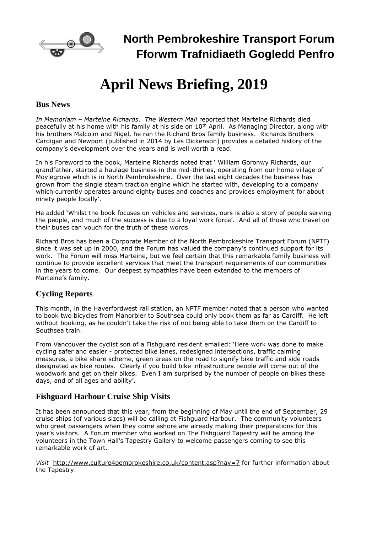

# **April News Briefing, 2019**

#### **Bus News**

*In Memoriam – Marteine Richards*. *The Western Mail* reported that Marteine Richards died peacefully at his home with his family at his side on  $10<sup>th</sup>$  April. As Managing Director, along with his brothers Malcolm and Nigel, he ran the Richard Bros family business. Richards Brothers Cardigan and Newport (published in 2014 by Les Dickenson) provides a detailed history of the company's development over the years and is well worth a read.

In his Foreword to the book, Marteine Richards noted that ' William Goronwy Richards, our grandfather, started a haulage business in the mid-thirties, operating from our home village of Moylegrove which is in North Pembrokeshire. Over the last eight decades the business has grown from the single steam traction engine which he started with, developing to a company which currently operates around eighty buses and coaches and provides employment for about ninety people locally'.

He added 'Whilst the book focuses on vehicles and services, ours is also a story of people serving the people, and much of the success is due to a loyal work force'. And all of those who travel on their buses can vouch for the truth of these words.

Richard Bros has been a Corporate Member of the North Pembrokeshire Transport Forum (NPTF) since it was set up in 2000, and the Forum has valued the company's continued support for its work. The Forum will miss Marteine, but we feel certain that this remarkable family business will continue to provide excellent services that meet the transport requirements of our communities in the years to come. Our deepest sympathies have been extended to the members of Marteine's family.

## **Cycling Reports**

This month, in the Haverfordwest rail station, an NPTF member noted that a person who wanted to book two bicycles from Manorbier to Southsea could only book them as far as Cardiff. He left without booking, as he couldn't take the risk of not being able to take them on the Cardiff to Southsea train.

From Vancouver the cyclist son of a Fishguard resident emailed: 'Here work was done to make cycling safer and easier - protected bike lanes, redesigned intersections, traffic calming measures, a bike share scheme, green areas on the road to signify bike traffic and side roads designated as bike routes. Clearly if you build bike infrastructure people will come out of the woodwork and get on their bikes. Even I am surprised by the number of people on bikes these days, and of all ages and ability'.

## **Fishguard Harbour Cruise Ship Visits**

It has been announced that this year, from the beginning of May until the end of September, 29 cruise ships (of various sizes) will be calling at Fishguard Harbour. The community volunteers who greet passengers when they come ashore are already making their preparations for this year's visitors. A Forum member who worked on The Fishguard Tapestry will be among the volunteers in the Town Hall's Tapestry Gallery to welcome passengers coming to see this remarkable work of art.

*Visit* <http://www.culture4pembrokeshire.co.uk/content.asp?nav=7> for further information about the Tapestry.